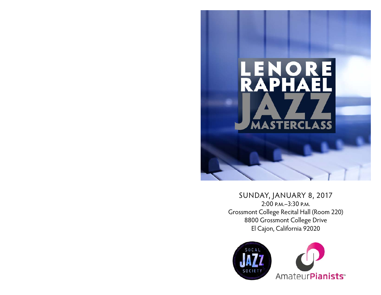

## SUNDAY, JANUARY 8, 2017 2:00 p.m.–3:30 p.m. Grossmont College Recital Hall (Room 220) 8800 Grossmont College Drive El Cajon, California 92020